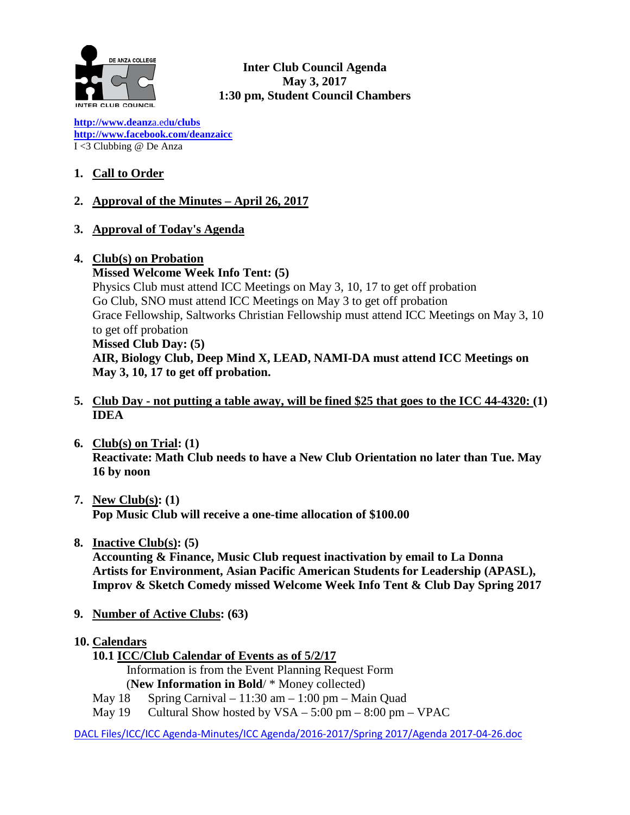

**Inter Club Council Agenda May 3, 2017 1:30 pm, Student Council Chambers**

**[http://www.deanz](http://www.deanza.edu/clubs)**[a.ed](http://www.deanza.edu/clubs)**[u/clubs](http://www.deanza.edu/clubs) [http://www.facebook.com/deanzaicc](http://www.facebook.com/home.php#!/group.php?gid=59034552686)** I <3 Clubbing @ De Anza

# **1. Call to Order**

### **2. Approval of the Minutes – April 26, 2017**

### **3. Approval of Today's Agenda**

#### **4. Club(s) on Probation**

**Missed Welcome Week Info Tent: (5)** Physics Club must attend ICC Meetings on May 3, 10, 17 to get off probation Go Club, SNO must attend ICC Meetings on May 3 to get off probation Grace Fellowship, Saltworks Christian Fellowship must attend ICC Meetings on May 3, 10 to get off probation **Missed Club Day: (5) AIR, Biology Club, Deep Mind X, LEAD, NAMI-DA must attend ICC Meetings on May 3, 10, 17 to get off probation.**

- **5. Club Day - not putting a table away, will be fined \$25 that goes to the ICC 44-4320: (1) IDEA**
- **6. Club(s) on Trial: (1) Reactivate: Math Club needs to have a New Club Orientation no later than Tue. May 16 by noon**
- **7. New Club(s): (1) Pop Music Club will receive a one-time allocation of \$100.00**
- **8. Inactive Club(s): (5)**

**Accounting & Finance, Music Club request inactivation by email to La Donna Artists for Environment, Asian Pacific American Students for Leadership (APASL), Improv & Sketch Comedy missed Welcome Week Info Tent & Club Day Spring 2017**

- **9. Number of Active Clubs: (63)**
- **10. Calendars**
	- **10.1 ICC/Club Calendar of Events as of 5/2/17**

 Information is from the Event Planning Request Form (**New Information in Bold**/ \* Money collected)

- May  $18$  Spring Carnival  $11:30$  am  $1:00$  pm Main Quad
- May  $19$  Cultural Show hosted by  $VSA 5:00 \text{ pm} 8:00 \text{ pm} \text{VPAC}$

DACL Files/ICC/ICC Agenda-Minutes/ICC Agenda/2016-2017/Spring 2017/Agenda 2017-04-26.doc